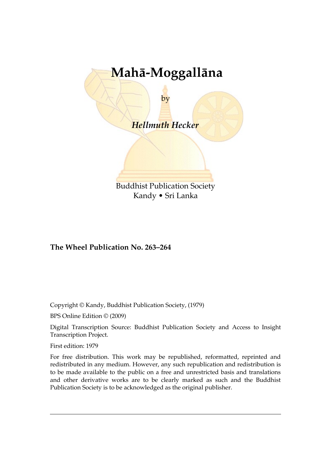

Kandy • Sri Lanka

#### **The Wheel Publication No. 263–264**

Copyright © Kandy, Buddhist Publication Society, (1979)

BPS Online Edition © (2009)

Digital Transcription Source: Buddhist Publication Society and Access to Insight Transcription Project.

First edition: 1979

For free distribution. This work may be republished, reformatted, reprinted and redistributed in any medium. However, any such republication and redistribution is to be made available to the public on a free and unrestricted basis and translations and other derivative works are to be clearly marked as such and the Buddhist Publication Society is to be acknowledged as the original publisher.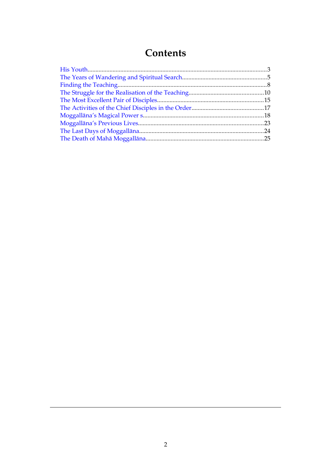## <span id="page-1-1"></span><span id="page-1-0"></span>**Contents**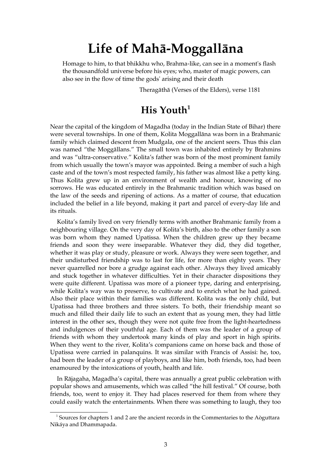# **Life of Mahā-Moggallāna**

Homage to him, to that bhikkhu who, Brahma-like, can see in a moment's flash the thousandfold universe before his eyes; who, master of magic powers, can also see in the flow of time the gods' arising and their death

Theragāthā (Verses of the Elders), verse 1181

### <span id="page-2-0"></span>**His Youth[1](#page-2-1)**

Near the capital of the kingdom of Magadha (today in the Indian State of Bihar) there were several townships. In one of them, Kolita Moggallāna was born in a Brahmanic family which claimed descent from Mudgala, one of the ancient seers. Thus this clan was named "the Moggāllans." The small town was inhabited entirely by Brahmins and was "ultra-conservative." Kolita's father was born of the most prominent family from which usually the town's mayor was appointed. Being a member of such a high caste and of the town's most respected family, his father was almost like a petty king. Thus Kolita grew up in an environment of wealth and honour, knowing of no sorrows. He was educated entirely in the Brahmanic tradition which was based on the law of the seeds and ripening of actions. As a matter of course, that education included the belief in a life beyond, making it part and parcel of every-day life and its rituals.

Kolita's family lived on very friendly terms with another Brahmanic family from a neighbouring village. On the very day of Kolita's birth, also to the other family a son was born whom they named Upatissa. When the children grew up they became friends and soon they were inseparable. Whatever they did, they did together, whether it was play or study, pleasure or work. Always they were seen together, and their undisturbed friendship was to last for life, for more than eighty years. They never quarrelled nor bore a grudge against each other. Always they lived amicably and stuck together in whatever difficulties. Yet in their character dispositions they were quite different. Upatissa was more of a pioneer type, daring and enterprising, while Kolita's way was to preserve, to cultivate and to enrich what he had gained. Also their place within their families was different. Kolita was the only child, but Upatissa had three brothers and three sisters. To both, their friendship meant so much and filled their daily life to such an extent that as young men, they had little interest in the other sex, though they were not quite free from the light-heartedness and indulgences of their youthful age. Each of them was the leader of a group of friends with whom they undertook many kinds of play and sport in high spirits. When they went to the river, Kolita's companions came on horse back and those of Upatissa were carried in palanquins. It was similar with Francis of Assisi: he, too, had been the leader of a group of playboys, and like him, both friends, too, had been enamoured by the intoxications of youth, health and life.

In Rājagaha, Magadha's capital, there was annually a great public celebration with popular shows and amusements, which was called "the hill festival." Of course, both friends, too, went to enjoy it. They had places reserved for them from where they could easily watch the entertainments. When there was something to laugh, they too

<span id="page-2-1"></span> $1$  Sources for chapters 1 and 2 are the ancient records in the Commentaries to the Aòguttara Nikáya and Dhammapada.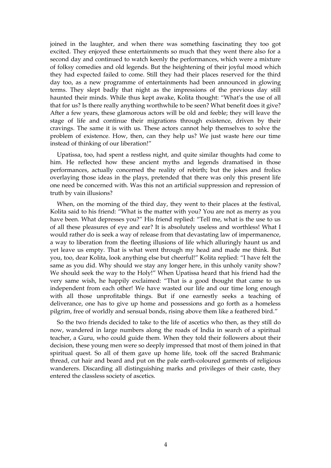joined in the laughter, and when there was something fascinating they too got excited. They enjoyed these entertainments so much that they went there also for a second day and continued to watch keenly the performances, which were a mixture of folksy comedies and old legends. But the heightening of their joyful mood which they had expected failed to come. Still they had their places reserved for the third day too, as a new programme of entertainments had been announced in glowing terms. They slept badly that night as the impressions of the previous day still haunted their minds. While thus kept awake, Kolita thought: "What's the use of all that for us? Is there really anything worthwhile to be seen? What benefit does it give? After a few years, these glamorous actors will be old and feeble; they will leave the stage of life and continue their migrations through existence, driven by their cravings. The same it is with us. These actors cannot help themselves to solve the problem of existence. How, then, can they help us? We just waste here our time instead of thinking of our liberation!"

Upatissa, too, had spent a restless night, and quite similar thoughts had come to him. He reflected how these ancient myths and legends dramatised in those performances, actually concerned the reality of rebirth; but the jokes and frolics overlaying those ideas in the plays, pretended that there was only this present life one need be concerned with. Was this not an artificial suppression and repression of truth by vain illusions?

When, on the morning of the third day, they went to their places at the festival, Kolita said to his friend: "What is the matter with you? You are not as merry as you have been. What depresses you?" His friend replied: "Tell me, what is the use to us of all these pleasures of eye and ear? It is absolutely useless and worthless! What I would rather do is seek a way of release from that devastating law of impermanence, a way to liberation from the fleeting illusions of life which alluringly haunt us and yet leave us empty. That is what went through my head and made me think. But you, too, dear Kolita, look anything else but cheerful!" Kolita replied: "I have felt the same as you did. Why should we stay any longer here, in this unholy vanity show? We should seek the way to the Holy!" When Upatissa heard that his friend had the very same wish, he happily exclaimed: "That is a good thought that came to us independent from each other! We have wasted our life and our time long enough with all those unprofitable things. But if one earnestly seeks a teaching of deliverance, one has to give up home and possessions and go forth as a homeless pilgrim, free of worldly and sensual bonds, rising above them like a feathered bird."

So the two friends decided to take to the life of ascetics who then, as they still do now, wandered in large numbers along the roads of India in search of a spiritual teacher, a Guru, who could guide them. When they told their followers about their decision, these young men were so deeply impressed that most of them joined in that spiritual quest. So all of them gave up home life, took off the sacred Brahmanic thread, cut hair and beard and put on the pale earth-coloured garments of religious wanderers. Discarding all distinguishing marks and privileges of their caste, they entered the classless society of ascetics.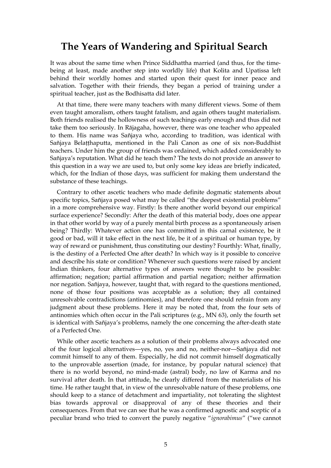### <span id="page-4-0"></span>**The Years of Wandering and Spiritual Search**

It was about the same time when Prince Siddhattha married (and thus, for the timebeing at least, made another step into worldly life) that Kolita and Upatissa left behind their worldly homes and started upon their quest for inner peace and salvation. Together with their friends, they began a period of training under a spiritual teacher, just as the Bodhisatta did later.

At that time, there were many teachers with many different views. Some of them even taught amoralism, others taught fatalism, and again others taught materialism. Both friends realised the hollowness of such teachings early enough and thus did not take them too seriously. In Rājagaha, however, there was one teacher who appealed to them. His name was Sañjaya who, according to tradition, was identical with Sañjaya Belaṭṭhaputta, mentioned in the Pali Canon as one of six non-Buddhist teachers. Under him the group of friends was ordained, which added considerably to Sañjaya's reputation. What did he teach them? The texts do not provide an answer to this question in a way we are used to, but only some key ideas are briefly indicated, which, for the Indian of those days, was sufficient for making them understand the substance of these teachings.

Contrary to other ascetic teachers who made definite dogmatic statements about specific topics, Sañjaya posed what may be called "the deepest existential problems" in a more comprehensive way. Firstly: Is there another world beyond our empirical surface experience? Secondly: After the death of this material body, does one appear in that other world by way of a purely mental birth process as a spontaneously arisen being? Thirdly: Whatever action one has committed in this carnal existence, be it good or bad, will it take effect in the next life, be it of a spiritual or human type, by way of reward or punishment, thus constituting our destiny? Fourthly: What, finally, is the destiny of a Perfected One after death? In which way is it possible to conceive and describe his state or condition? Whenever such questions were raised by ancient Indian thinkers, four alternative types of answers were thought to be possible: affirmation; negation; partial affirmation and partial negation; neither affirmation nor negation. Sañjaya, however, taught that, with regard to the questions mentioned, none of those four positions was acceptable as a solution; they all contained unresolvable contradictions (antinomies), and therefore one should refrain from any judgment about these problems. Here it may be noted that, from the four sets of antinomies which often occur in the Pali scriptures (e.g., MN 63), only the fourth set is identical with Sañjaya's problems, namely the one concerning the after-death state of a Perfected One.

While other ascetic teachers as a solution of their problems always advocated one of the four logical alternatives—yes, no, yes and no, neither-nor—Sañjaya did not commit himself to any of them. Especially, he did not commit himself dogmatically to the unprovable assertion (made, for instance, by popular natural science) that there is no world beyond, no mind-made (astral) body, no law of Karma and no survival after death. In that attitude, he clearly differed from the materialists of his time. He rather taught that, in view of the unresolvable nature of these problems, one should keep to a stance of detachment and impartiality, not tolerating the slightest bias towards approval or disapproval of any of these theories and their consequences. From that we can see that he was a confirmed agnostic and sceptic of a peculiar brand who tried to convert the purely negative "*ignorabimus*" ("we cannot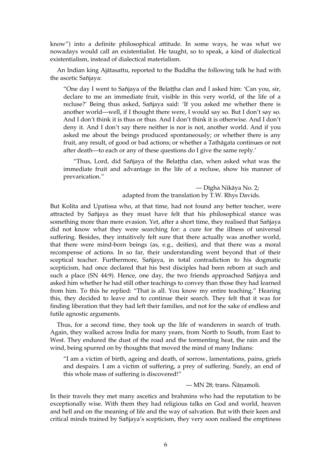know") into a definite philosophical attitude. In some ways, he was what we nowadays would call an existentialist. He taught, so to speak, a kind of dialectical existentialism, instead of dialectical materialism.

An Indian king Ajātasattu, reported to the Buddha the following talk he had with the ascetic Sañjaya:

"One day I went to Sañjaya of the Belaṭṭha clan and I asked him: 'Can you, sir, declare to me an immediate fruit, visible in this very world, of the life of a recluse?' Being thus asked, Sañjaya said: 'If you asked me whether there is another world—well, if I thought there were, I would say so. But I don't say so. And I don't think it is thus or thus. And I don't think it is otherwise. And I don't deny it. And I don't say there neither is nor is not, another world. And if you asked me about the beings produced spontaneously; or whether there is any fruit, any result, of good or bad actions; or whether a Tathāgata continues or not after death—to each or any of these questions do I give the same reply.'

"Thus, Lord, did Sañjaya of the Belaṭṭha clan, when asked what was the immediate fruit and advantage in the life of a recluse, show his manner of prevarication."

> — Dīgha Nikāya No. 2; adapted from the translation by T.W. Rhys Davids.

But Kolita and Upatissa who, at that time, had not found any better teacher, were attracted by Sañjaya as they must have felt that his philosophical stance was something more than mere evasion. Yet, after a short time, they realised that Sañjaya did not know what they were searching for: a cure for the illness of universal suffering. Besides, they intuitively felt sure that there actually was another world, that there were mind-born beings (as, e.g., deities), and that there was a moral recompense of actions. In so far, their understanding went beyond that of their sceptical teacher. Furthermore, Sañjaya, in total contradiction to his dogmatic scepticism, had once declared that his best disciples had been reborn at such and such a place (SN 44:9). Hence, one day, the two friends approached Sañjaya and asked him whether he had still other teachings to convey than those they had learned from him. To this he replied: "That is all. You know my entire teaching." Hearing this, they decided to leave and to continue their search. They felt that it was for finding liberation that they had left their families, and not for the sake of endless and futile agnostic arguments.

Thus, for a second time, they took up the life of wanderers in search of truth. Again, they walked across India for many years, from North to South, from East to West. They endured the dust of the road and the tormenting heat, the rain and the wind, being spurred on by thoughts that moved the mind of many Indians:

"I am a victim of birth, ageing and death, of sorrow, lamentations, pains, griefs and despairs. I am a victim of suffering, a prey of suffering. Surely, an end of this whole mass of suffering is discovered!"

#### — MN 28; trans. Ñāṇamoli.

In their travels they met many ascetics and brahmins who had the reputation to be exceptionally wise. With them they had religious talks on God and world, heaven and hell and on the meaning of life and the way of salvation. But with their keen and critical minds trained by Sañjaya's scepticism, they very soon realised the emptiness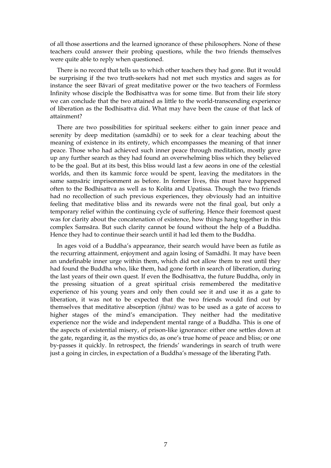of all those assertions and the learned ignorance of these philosophers. None of these teachers could answer their probing questions, while the two friends themselves were quite able to reply when questioned.

There is no record that tells us to which other teachers they had gone. But it would be surprising if the two truth-seekers had not met such mystics and sages as for instance the seer Bāvari of great meditative power or the two teachers of Formless Infinity whose disciple the Bodhisattva was for some time. But from their life story we can conclude that the two attained as little to the world-transcending experience of liberation as the Bodhisattva did. What may have been the cause of that lack of attainment?

There are two possibilities for spiritual seekers: either to gain inner peace and serenity by deep meditation (samādhi) or to seek for a clear teaching about the meaning of existence in its entirety, which encompasses the meaning of that inner peace. Those who had achieved such inner peace through meditation, mostly gave up any further search as they had found an overwhelming bliss which they believed to be the goal. But at its best, this bliss would last a few aeons in one of the celestial worlds, and then its kammic force would be spent, leaving the meditators in the same saṃsāric imprisonment as before. In former lives, this must have happened often to the Bodhisattva as well as to Kolita and Upatissa. Though the two friends had no recollection of such previous experiences, they obviously had an intuitive feeling that meditative bliss and its rewards were not the final goal, but only a temporary relief within the continuing cycle of suffering. Hence their foremost quest was for clarity about the concatenation of existence, how things hang together in this complex Saṃsāra. But such clarity cannot be found without the help of a Buddha. Hence they had to continue their search until it had led them to the Buddha.

In ages void of a Buddha's appearance, their search would have been as futile as the recurring attainment, enjoyment and again losing of Samādhi. It may have been an undefinable inner urge within them, which did not allow them to rest until they had found the Buddha who, like them, had gone forth in search of liberation, during the last years of their own quest. If even the Bodhisattva, the future Buddha, only in the pressing situation of a great spiritual crisis remembered the meditative experience of his young years and only then could see it and use it as a gate to liberation, it was not to be expected that the two friends would find out by themselves that meditative absorption *(jhāna)* was to be used as a gate of access to higher stages of the mind's emancipation. They neither had the meditative experience nor the wide and independent mental range of a Buddha. This is one of the aspects of existential misery, of prison-like ignorance: either one settles down at the gate, regarding it, as the mystics do, as one's true home of peace and bliss; or one by-passes it quickly. In retrospect, the friends' wanderings in search of truth were just a going in circles, in expectation of a Buddha's message of the liberating Path.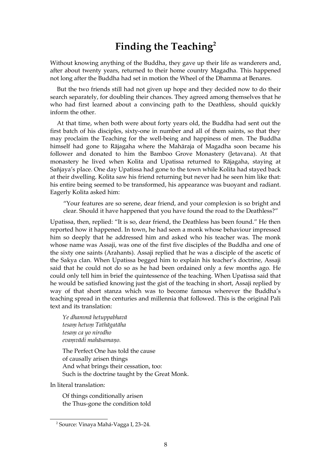### <span id="page-7-0"></span>**Finding the Teaching[2](#page-7-1)**

Without knowing anything of the Buddha, they gave up their life as wanderers and, after about twenty years, returned to their home country Magadha. This happened not long after the Buddha had set in motion the Wheel of the Dhamma at Benares.

But the two friends still had not given up hope and they decided now to do their search separately, for doubling their chances. They agreed among themselves that he who had first learned about a convincing path to the Deathless, should quickly inform the other.

At that time, when both were about forty years old, the Buddha had sent out the first batch of his disciples, sixty-one in number and all of them saints, so that they may proclaim the Teaching for the well-being and happiness of men. The Buddha himself had gone to Rājagaha where the Mahāraja of Magadha soon became his follower and donated to him the Bamboo Grove Monastery (Jetavana). At that monastery he lived when Kolita and Upatissa returned to Rājagaha, staying at Sañjaya's place. One day Upatissa had gone to the town while Kolita had stayed back at their dwelling. Kolita saw his friend returning but never had he seen him like that: his entire being seemed to be transformed, his appearance was buoyant and radiant. Eagerly Kolita asked him:

"Your features are so serene, dear friend, and your complexion is so bright and clear. Should it have happened that you have found the road to the Deathless?"

Upatissa, then, replied: "It is so, dear friend, the Deathless has been found." He then reported how it happened. In town, he had seen a monk whose behaviour impressed him so deeply that he addressed him and asked who his teacher was. The monk whose name was Assaji, was one of the first five disciples of the Buddha and one of the sixty one saints (Arahants). Assaji replied that he was a disciple of the ascetic of the Sakya clan. When Upatissa begged him to explain his teacher's doctrine, Assaji said that he could not do so as he had been ordained only a few months ago. He could only tell him in brief the quintessence of the teaching. When Upatissa said that he would be satisfied knowing just the gist of the teaching in short, Assaji replied by way of that short stanza which was to become famous wherever the Buddha's teaching spread in the centuries and millennia that followed. This is the original Pali text and its translation:

*Ye dhammā hetuppabhavā tesaṃ hetuṃ Tathāgatāha tesaṃ ca yo nirodho evaṃvādi mahāsamaṇo.*

The Perfect One has told the cause of causally arisen things And what brings their cessation, too: Such is the doctrine taught by the Great Monk.

In literal translation:

Of things conditionally arisen the Thus-gone the condition told

<span id="page-7-1"></span><sup>2</sup> Source: Vinaya Mahá-Vagga I, 23–24.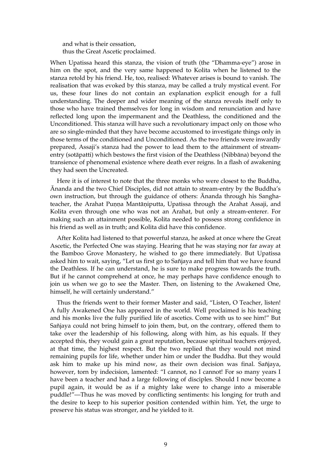and what is their cessation, thus the Great Ascetic proclaimed.

When Upatissa heard this stanza, the vision of truth (the "Dhamma-eye") arose in him on the spot, and the very same happened to Kolita when he listened to the stanza retold by his friend. He, too, realised: Whatever arises is bound to vanish. The realisation that was evoked by this stanza, may be called a truly mystical event. For us, these four lines do not contain an explanation explicit enough for a full understanding. The deeper and wider meaning of the stanza reveals itself only to those who have trained themselves for long in wisdom and renunciation and have reflected long upon the impermanent and the Deathless, the conditioned and the Unconditioned. This stanza will have such a revolutionary impact only on those who are so single-minded that they have become accustomed to investigate things only in those terms of the conditioned and Unconditioned. As the two friends were inwardly prepared, Assaji's stanza had the power to lead them to the attainment of streamentry (sotāpatti) which bestows the first vision of the Deathless (Nibbāna) beyond the transience of phenomenal existence where death ever reigns. In a flash of awakening they had seen the Uncreated.

Here it is of interest to note that the three monks who were closest to the Buddha, Ānanda and the two Chief Disciples, did not attain to stream-entry by the Buddha's own instruction, but through the guidance of others: Ānanda through his Sanghateacher, the Arahat Punna Mantāniputta, Upatissa through the Arahat Assaji, and Kolita even through one who was not an Arahat, but only a stream-enterer. For making such an attainment possible, Kolita needed to possess strong confidence in his friend as well as in truth; and Kolita did have this confidence.

After Kolita had listened to that powerful stanza, he asked at once where the Great Ascetic, the Perfected One was staying. Hearing that he was staying nor far away at the Bamboo Grove Monastery, he wished to go there immediately. But Upatissa asked him to wait, saying, "Let us first go to Sañjaya and tell him that we have found the Deathless. If he can understand, he is sure to make progress towards the truth. But if he cannot comprehend at once, he may perhaps have confidence enough to join us when we go to see the Master. Then, on listening to the Awakened One, himself, he will certainly understand."

Thus the friends went to their former Master and said, "Listen, O Teacher, listen! A fully Awakened One has appeared in the world. Well proclaimed is his teaching and his monks live the fully purified life of ascetics. Come with us to see him!" But Sañjaya could not bring himself to join them, but, on the contrary, offered them to take over the leadership of his following, along with him, as his equals. If they accepted this, they would gain a great reputation, because spiritual teachers enjoyed, at that time, the highest respect. But the two replied that they would not mind remaining pupils for life, whether under him or under the Buddha. But they would ask him to make up his mind now, as their own decision was final. Sañjaya, however, torn by indecision, lamented: "I cannot, no I cannot! For so many years I have been a teacher and had a large following of disciples. Should I now become a pupil again, it would be as if a mighty lake were to change into a miserable puddle!"—Thus he was moved by conflicting sentiments: his longing for truth and the desire to keep to his superior position contended within him. Yet, the urge to preserve his status was stronger, and he yielded to it.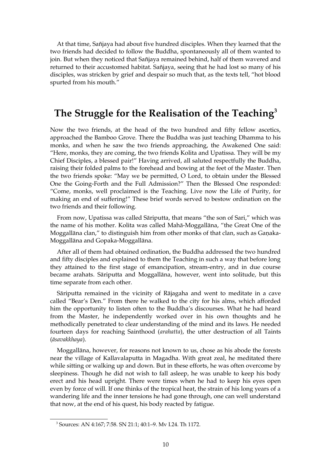At that time, Sañjaya had about five hundred disciples. When they learned that the two friends had decided to follow the Buddha, spontaneously all of them wanted to join. But when they noticed that Sañjaya remained behind, half of them wavered and returned to their accustomed habitat. Sañjaya, seeing that he had lost so many of his disciples, was stricken by grief and despair so much that, as the texts tell, "hot blood spurted from his mouth."

### **The Struggle for the Realisation of the Teaching[3](#page-9-0)**

Now the two friends, at the head of the two hundred and fifty fellow ascetics, approached the Bamboo Grove. There the Buddha was just teaching Dhamma to his monks, and when he saw the two friends approaching, the Awakened One said: "Here, monks, they are coming, the two friends Kolita and Upatissa. They will be my Chief Disciples, a blessed pair!" Having arrived, all saluted respectfully the Buddha, raising their folded palms to the forehead and bowing at the feet of the Master. Then the two friends spoke: "May we be permitted, O Lord, to obtain under the Blessed One the Going-Forth and the Full Admission?" Then the Blessed One responded: "Come, monks, well proclaimed is the Teaching. Live now the Life of Purity, for making an end of suffering!" These brief words served to bestow ordination on the two friends and their following.

From now, Upatissa was called Sāriputta, that means "the son of Sari," which was the name of his mother. Kolita was called Mahā-Moggallāna, "the Great One of the Moggallāna clan," to distinguish him from other monks of that clan, such as Gaṇaka-Moggallāna and Gopaka-Moggallāna.

After all of them had obtained ordination, the Buddha addressed the two hundred and fifty disciples and explained to them the Teaching in such a way that before long they attained to the first stage of emancipation, stream-entry, and in due course became arahats. Sāriputta and Moggallāna, however, went into solitude, but this time separate from each other.

Sāriputta remained in the vicinity of Rājagaha and went to meditate in a cave called "Bear's Den." From there he walked to the city for his alms, which afforded him the opportunity to listen often to the Buddha's discourses. What he had heard from the Master, he independently worked over in his own thoughts and he methodically penetrated to clear understanding of the mind and its laws. He needed fourteen days for reaching Sainthood (*arahatta*), the utter destruction of all Taints (*āsavakkhaya*).

Moggallāna, however, for reasons not known to us, chose as his abode the forests near the village of Kallavalaputta in Magadha. With great zeal, he meditated there while sitting or walking up and down. But in these efforts, he was often overcome by sleepiness. Though he did not wish to fall asleep, he was unable to keep his body erect and his head upright. There were times when he had to keep his eyes open even by force of will. If one thinks of the tropical heat, the strain of his long years of a wandering life and the inner tensions he had gone through, one can well understand that now, at the end of his quest, his body reacted by fatigue.

<span id="page-9-0"></span><sup>3</sup> Sources: AN 4:167; 7:58. SN 21:1; 40:1–9. Mv I.24. Th 1172.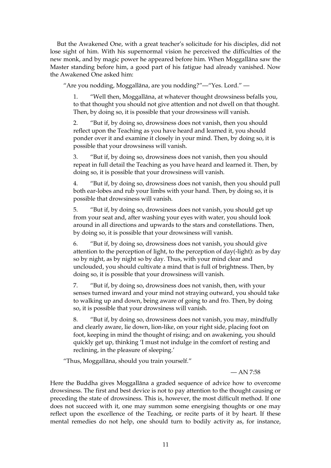But the Awakened One, with a great teacher's solicitude for his disciples, did not lose sight of him. With his supernormal vision he perceived the difficulties of the new monk, and by magic power he appeared before him. When Moggallāna saw the Master standing before him, a good part of his fatigue had already vanished. Now the Awakened One asked him:

"Are you nodding, Moggallāna, are you nodding?"—"Yes. Lord." —

1. "Well then, Moggallāna, at whatever thought drowsiness befalls you, to that thought you should not give attention and not dwell on that thought. Then, by doing so, it is possible that your drowsiness will vanish.

2. "But if, by doing so, drowsiness does not vanish, then you should reflect upon the Teaching as you have heard and learned it, you should ponder over it and examine it closely in your mind. Then, by doing so, it is possible that your drowsiness will vanish.

3. "But if, by doing so, drowsiness does not vanish, then you should repeat in full detail the Teaching as you have heard and learned it. Then, by doing so, it is possible that your drowsiness will vanish.

4. "But if, by doing so, drowsiness does not vanish, then you should pull both ear-lobes and rub your limbs with your hand. Then, by doing so, it is possible that drowsiness will vanish.

5. "But if, by doing so, drowsiness does not vanish, you should get up from your seat and, after washing your eyes with water, you should look around in all directions and upwards to the stars and constellations. Then, by doing so, it is possible that your drowsiness will vanish.

6. "But if, by doing so, drowsiness does not vanish, you should give attention to the perception of light, to the perception of day(-light): as by day so by night, as by night so by day. Thus, with your mind clear and unclouded, you should cultivate a mind that is full of brightness. Then, by doing so, it is possible that your drowsiness will vanish.

7. "But if, by doing so, drowsiness does not vanish, then, with your senses turned inward and your mind not straying outward, you should take to walking up and down, being aware of going to and fro. Then, by doing so, it is possible that your drowsiness will vanish.

8. "But if, by doing so, drowsiness does not vanish, you may, mindfully and clearly aware, lie down, lion-like, on your right side, placing foot on foot, keeping in mind the thought of rising; and on awakening, you should quickly get up, thinking 'I must not indulge in the comfort of resting and reclining, in the pleasure of sleeping.'

"Thus, Moggallāna, should you train yourself."

 $-$  AN 7:58

Here the Buddha gives Moggallāna a graded sequence of advice how to overcome drowsiness. The first and best device is not to pay attention to the thought causing or preceding the state of drowsiness. This is, however, the most difficult method. If one does not succeed with it, one may summon some energising thoughts or one may reflect upon the excellence of the Teaching, or recite parts of it by heart. If these mental remedies do not help, one should turn to bodily activity as, for instance,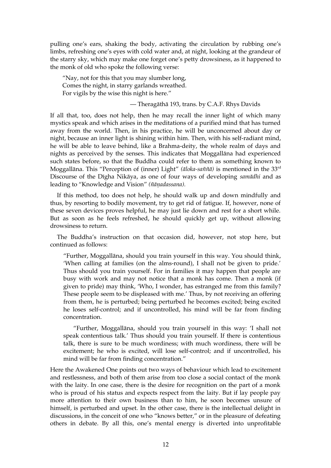pulling one's ears, shaking the body, activating the circulation by rubbing one's limbs, refreshing one's eyes with cold water and, at night, looking at the grandeur of the starry sky, which may make one forget one's petty drowsiness, as it happened to the monk of old who spoke the following verse:

"Nay, not for this that you may slumber long, Comes the night, in starry garlands wreathed. For vigils by the wise this night is here."

#### — Theragāthā 193, trans. by C.A.F. Rhys Davids

If all that, too, does not help, then he may recall the inner light of which many mystics speak and which arises in the meditations of a purified mind that has turned away from the world. Then, in his practice, he will be unconcerned about day or night, because an inner light is shining within him. Then, with his self-radiant mind, he will be able to leave behind, like a Brahma-deity, the whole realm of days and nights as perceived by the senses. This indicates that Moggallāna had experienced such states before, so that the Buddha could refer to them as something known to Moggallāna. This "Perception of (inner) Light" *(āloka-saññā)* is mentioned in the 33rd Discourse of the Dīgha Nikāya, as one of four ways of developing *samādhi* and as leading to "Knowledge and Vision" *(ñāṇadassana).*

If this method, too does not help, he should walk up and down mindfully and thus, by resorting to bodily movement, try to get rid of fatigue. If, however, none of these seven devices proves helpful, he may just lie down and rest for a short while. But as soon as he feels refreshed, he should quickly get up, without allowing drowsiness to return.

The Buddha's instruction on that occasion did, however, not stop here, but continued as follows:

"Further, Moggallāna, should you train yourself in this way. You should think, 'When calling at families (on the alms-round), I shall not be given to pride.' Thus should you train yourself. For in families it may happen that people are busy with work and may not notice that a monk has come. Then a monk (if given to pride) may think, 'Who, I wonder, has estranged me from this family? These people seem to be displeased with me.' Thus, by not receiving an offering from them, he is perturbed; being perturbed he becomes excited; being excited he loses self-control; and if uncontrolled, his mind will be far from finding concentration.

"Further, Moggallāna, should you train yourself in this way: 'I shall not speak contentious talk.' Thus should you train yourself. If there is contentious talk, there is sure to be much wordiness; with much wordiness, there will be excitement; he who is excited, will lose self-control; and if uncontrolled, his mind will be far from finding concentration."

Here the Awakened One points out two ways of behaviour which lead to excitement and restlessness, and both of them arise from too close a social contact of the monk with the laity. In one case, there is the desire for recognition on the part of a monk who is proud of his status and expects respect from the laity. But if lay people pay more attention to their own business than to him, he soon becomes unsure of himself, is perturbed and upset. In the other case, there is the intellectual delight in discussions, in the conceit of one who "knows better," or in the pleasure of defeating others in debate. By all this, one's mental energy is diverted into unprofitable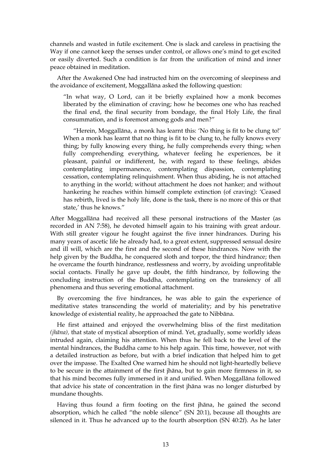channels and wasted in futile excitement. One is slack and careless in practising the Way if one cannot keep the senses under control, or allows one's mind to get excited or easily diverted. Such a condition is far from the unification of mind and inner peace obtained in meditation.

After the Awakened One had instructed him on the overcoming of sleepiness and the avoidance of excitement, Moggallāna asked the following question:

"In what way, O Lord, can it be briefly explained how a monk becomes liberated by the elimination of craving; how he becomes one who has reached the final end, the final security from bondage, the final Holy Life, the final consummation, and is foremost among gods and men?"

"Herein, Moggallāna, a monk has learnt this: 'No thing is fit to be clung to!' When a monk has learnt that no thing is fit to be clung to, he fully knows every thing; by fully knowing every thing, he fully comprehends every thing; when fully comprehending everything, whatever feeling he experiences, be it pleasant, painful or indifferent, he, with regard to these feelings, abides contemplating impermanence, contemplating dispassion, contemplating cessation, contemplating relinquishment. When thus abiding, he is not attached to anything in the world; without attachment he does not hanker; and without hankering he reaches within himself complete extinction (of craving): 'Ceased has rebirth, lived is the holy life, done is the task, there is no more of this or that state,' thus he knows."

After Moggallāna had received all these personal instructions of the Master (as recorded in AN 7:58), he devoted himself again to his training with great ardour. With still greater vigour he fought against the five inner hindrances. During his many years of ascetic life he already had, to a great extent, suppressed sensual desire and ill will, which are the first and the second of these hindrances. Now with the help given by the Buddha, he conquered sloth and torpor, the third hindrance; then he overcame the fourth hindrance, restlessness and worry, by avoiding unprofitable social contacts. Finally he gave up doubt, the fifth hindrance, by following the concluding instruction of the Buddha, contemplating on the transiency of all phenomena and thus severing emotional attachment.

By overcoming the five hindrances, he was able to gain the experience of meditative states transcending the world of materiality; and by his penetrative knowledge of existential reality, he approached the gate to Nibbāna.

He first attained and enjoyed the overwhelming bliss of the first meditation *(jhāna),* that state of mystical absorption of mind. Yet, gradually, some worldly ideas intruded again, claiming his attention. When thus he fell back to the level of the mental hindrances, the Buddha came to his help again. This time, however, not with a detailed instruction as before, but with a brief indication that helped him to get over the impasse. The Exalted One warned him he should not light-heartedly believe to be secure in the attainment of the first jhāna, but to gain more firmness in it, so that his mind becomes fully immersed in it and unified. When Moggallāna followed that advice his state of concentration in the first jhāna was no longer disturbed by mundane thoughts.

Having thus found a firm footing on the first jhāna, he gained the second absorption, which he called "the noble silence" (SN 20:1), because all thoughts are silenced in it. Thus he advanced up to the fourth absorption (SN 40:2f). As he later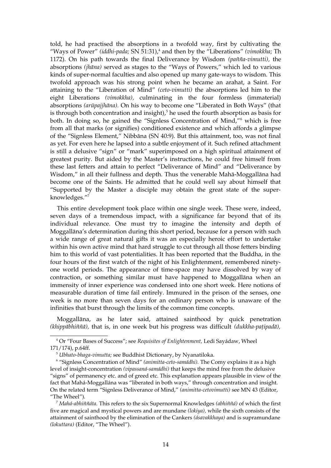told, he had practised the absorptions in a twofold way, first by cultivating the "Ways of Power" *(iddhi-pada;* SN 51:31),<sup>[4](#page-13-0)</sup> and then by the "Liberations" *(vimokkha;* Th 1172). On his path towards the final Deliverance by Wisdom *(pañña-vimutti),* the absorptions *(jhāna)* served as stages to the "Ways of Powers," which led to various kinds of super-normal faculties and also opened up many gate-ways to wisdom. This twofold approach was his strong point when he became an arahat, a Saint. For attaining to the "Liberation of Mind" *(ceto-vimutti)* the absorptions led him to the eight Liberations *(vimokkha),* culminating in the four formless (immaterial) absorptions *(arūpajjhāna).* On his way to become one "Liberated in Both Ways" (that is through both concentration and insight), $5$  he used the fourth absorption as basis for both. In doing so, he gained the "Signless Concentration of Mind,"<sup>[6](#page-13-2)</sup> which is free from all that marks (or signifies) conditioned existence and which affords a glimpse of the "Signless Element," Nibbāna (SN 40:9). But this attainment, too, was not final as yet. For even here he lapsed into a subtle enjoyment of it. Such refined attachment is still a delusive "sign" or "mark" superimposed on a high spiritual attainment of greatest purity. But aided by the Master's instructions, he could free himself from these last fetters and attain to perfect "Deliverance of Mind" and "Deliverance by Wisdom," in all their fullness and depth. Thus the venerable Mahā-Moggallāna had become one of the Saints. He admitted that he could well say about himself that "Supported by the Master a disciple may obtain the great state of the superknowledges."[7](#page-13-3)

This entire development took place within one single week. These were, indeed, seven days of a tremendous impact, with a significance far beyond that of its individual relevance. One must try to imagine the intensity and depth of Moggallāna's determination during this short period, because for a person with such a wide range of great natural gifts it was an especially heroic effort to undertake within his own active mind that hard struggle to cut through all those fetters binding him to this world of vast potentialities. It has been reported that the Buddha, in the four hours of the first watch of the night of his Enlightenment, remembered ninetyone world periods. The appearance of time-space may have dissolved by way of contraction, or something similar must have happened to Moggallāna when an immensity of inner experience was condensed into one short week. Here notions of measurable duration of time fail entirely. Immured in the prison of the senses, one week is no more than seven days for an ordinary person who is unaware of the infinities that burst through the limits of the common time concepts.

Moggallāna, as he later said, attained sainthood by quick penetration *(khippābhiññā),* that is, in one week but his progress was difficult *(dukkha-paṭipadā),*

<span id="page-13-0"></span><sup>4</sup> Or "Four Bases of Success"; see *Requisites of Enlightenment,* Ledi Sayádaw, Wheel 171/174), p.64ff.

<span id="page-13-2"></span><span id="page-13-1"></span><sup>5</sup> *Ubhato-bhaga-vimutta;* see Buddhist Dictionary, by Nyanatiloka.

<sup>&</sup>lt;sup>6</sup> "Signless Concentration of Mind" *(animitta-ceto-samádhi)*. The Comy explains it as a high level of insight-concentration *(vipassaná-samádhi)* that keeps the mind free from the delusive "signs" of permanency etc. and of greed etc. This explanation appears plausible in view of the fact that Mahá-Moggallána was "liberated in both ways," through concentration and insight. On the related term "Signless Deliverance of Mind," *(animitta-cetovimutti)* see MN 43 (Editor, "The Wheel").

<span id="page-13-3"></span><sup>7</sup> *Mahá-abhiññáta.* This refers to the six Supernormal Knowledges *(abhiññá)* of which the first five are magical and mystical powers and are mundane *(lokiya),* while the sixth consists of the attainment of sainthood by the elimination of the Cankers *(ásavakkhaya)* and is supramundane *(lokuttara)* (Editor, "The Wheel").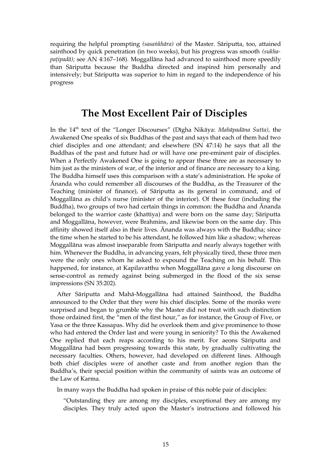requiring the helpful prompting *(sasaṅkhāra)* of the Master. Sāriputta, too, attained sainthood by quick penetration (in two weeks), but his progress was smooth *(sukhapaṭipadā);* see AN 4:167–168). Moggallāna had advanced to sainthood more speedily than Sāriputta because the Buddha directed and inspired him personally and intensively; but Sāriputta was superior to him in regard to the independence of his progress

#### <span id="page-14-0"></span>**The Most Excellent Pair of Disciples**

In the 14th text of the "Longer Discourses" (Dīgha Nikāya: *Mahāpadāna Sutta),* the Awakened One speaks of six Buddhas of the past and says that each of them had two chief disciples and one attendant; and elsewhere (SN 47:14) he says that all the Buddhas of the past and future had or will have one pre-eminent pair of disciples. When a Perfectly Awakened One is going to appear these three are as necessary to him just as the ministers of war, of the interior and of finance are necessary to a king. The Buddha himself uses this comparison with a state's administration. He spoke of Ānanda who could remember all discourses of the Buddha, as the Treasurer of the Teaching (minister of finance), of Sāriputta as its general in command, and of Moggallāna as child's nurse (minister of the interior). Of these four (including the Buddha), two groups of two had certain things in common: the Buddha and Ānanda belonged to the warrior caste (khattiya) and were born on the same day; Sāriputta and Moggallāna, however, were Brahmins, and likewise born on the same day. This affinity showed itself also in their lives. Ānanda was always with the Buddha; since the time when he started to be his attendant, he followed him like a shadow; whereas Moggallāna was almost inseparable from Sāriputta and nearly always together with him. Whenever the Buddha, in advancing years, felt physically tired, these three men were the only ones whom he asked to expound the Teaching on his behalf. This happened, for instance, at Kapilavatthu when Moggallāna gave a long discourse on sense-control as remedy against being submerged in the flood of the six sense impressions (SN 35:202).

After Sāriputta and Mahā-Moggallāna had attained Sainthood, the Buddha announced to the Order that they were his chief disciples. Some of the monks were surprised and began to grumble why the Master did not treat with such distinction those ordained first, the "men of the first hour," as for instance, the Group of Five, or Yasa or the three Kassapas. Why did he overlook them and give prominence to those who had entered the Order last and were young in seniority? To this the Awakened One replied that each reaps according to his merit. For aeons Sāriputta and Moggallāna had been progressing towards this state, by gradually cultivating the necessary faculties. Others, however, had developed on different lines. Although both chief disciples were of another caste and from another region than the Buddha's, their special position within the community of saints was an outcome of the Law of Karma.

In many ways the Buddha had spoken in praise of this noble pair of disciples:

"Outstanding they are among my disciples, exceptional they are among my disciples. They truly acted upon the Master's instructions and followed his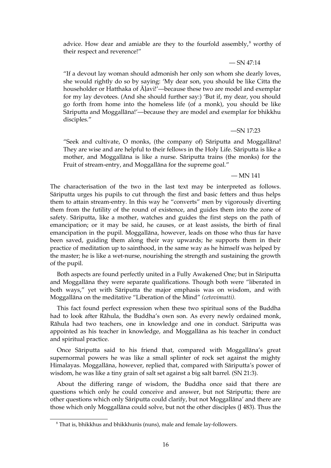advice. How dear and amiable are they to the fourfold assembly, $<sup>8</sup>$  $<sup>8</sup>$  $<sup>8</sup>$  worthy of</sup> their respect and reverence!"

 $-$  SN 47:14

"If a devout lay woman should admonish her only son whom she dearly loves, she would rightly do so by saying: 'My dear son, you should be like Citta the householder or Hatthaka of Āḷavi!'—because these two are model and exemplar for my lay devotees. (And she should further say:) 'But if, my dear, you should go forth from home into the homeless life (of a monk), you should be like Sāriputta and Moggallāna!'—because they are model and exemplar for bhikkhu disciples."

—SN 17:23

"Seek and cultivate, O monks, (the company of) Sāriputta and Moggallāna! They are wise and are helpful to their fellows in the Holy Life. Sāriputta is like a mother, and Moggallāna is like a nurse. Sāriputta trains (the monks) for the Fruit of stream-entry, and Moggallāna for the supreme goal."

— MN 141

The characterisation of the two in the last text may be interpreted as follows. Sāriputta urges his pupils to cut through the first and basic fetters and thus helps them to attain stream-entry. In this way he "converts" men by vigorously diverting them from the futility of the round of existence, and guides them into the zone of safety. Sāriputta, like a mother, watches and guides the first steps on the path of emancipation; or it may be said, he causes, or at least assists, the birth of final emancipation in the pupil. Moggallāna, however, leads on those who thus far have been saved, guiding them along their way upwards; he supports them in their practice of meditation up to sainthood, in the same way as he himself was helped by the master; he is like a wet-nurse, nourishing the strength and sustaining the growth of the pupil.

Both aspects are found perfectly united in a Fully Awakened One; but in Sāriputta and Moggallāna they were separate qualifications. Though both were "liberated in both ways," yet with Sāriputta the major emphasis was on wisdom, and with Moggallāna on the meditative "Liberation of the Mind" *(cetovimutti).*

This fact found perfect expression when these two spiritual sons of the Buddha had to look after Rāhula, the Buddha's own son. As every newly ordained monk, Rāhula had two teachers, one in knowledge and one in conduct. Sāriputta was appointed as his teacher in knowledge, and Moggallāna as his teacher in conduct and spiritual practice.

Once Sāriputta said to his friend that, compared with Moggallāna's great supernormal powers he was like a small splinter of rock set against the mighty Himalayas. Moggallāna, however, replied that, compared with Sāriputta's power of wisdom, he was like a tiny grain of salt set against a big salt barrel. (SN 21:3).

About the differing range of wisdom, the Buddha once said that there are questions which only he could conceive and answer, but not Sāriputta; there are other questions which only Sāriputta could clarify, but not Moggallāna' and there are those which only Moggallāna could solve, but not the other disciples (J 483). Thus the

<span id="page-15-0"></span> $8$  That is, bhikkhus and bhikkhunìs (nuns), male and female lay-followers.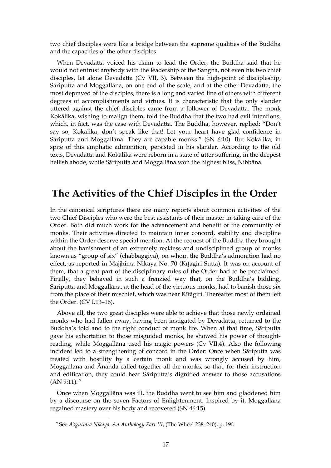two chief disciples were like a bridge between the supreme qualities of the Buddha and the capacities of the other disciples.

When Devadatta voiced his claim to lead the Order, the Buddha said that he would not entrust anybody with the leadership of the Sangha, not even his two chief disciples, let alone Devadatta (Cv VII, 3). Between the high-point of discipleship, Sāriputta and Moggallāna, on one end of the scale, and at the other Devadatta, the most depraved of the disciples, there is a long and varied line of others with different degrees of accomplishments and virtues. It is characteristic that the only slander uttered against the chief disciples came from a follower of Devadatta. The monk Kokālika, wishing to malign them, told the Buddha that the two had evil intentions, which, in fact, was the case with Devadatta. The Buddha, however, replied: "Don't say so, Kokālika, don't speak like that! Let your heart have glad confidence in Sāriputta and Moggallāna! They are capable monks." (SN 6:10). But Kokālika, in spite of this emphatic admonition, persisted in his slander. According to the old texts, Devadatta and Kokālika were reborn in a state of utter suffering, in the deepest hellish abode, while Sāriputta and Moggallāna won the highest bliss, Nibbāna

#### **The Activities of the Chief Disciples in the Order**

In the canonical scriptures there are many reports about common activities of the two Chief Disciples who were the best assistants of their master in taking care of the Order. Both did much work for the advancement and benefit of the community of monks. Their activities directed to maintain inner concord, stability and discipline within the Order deserve special mention. At the request of the Buddha they brought about the banishment of an extremely reckless and undisciplined group of monks known as "group of six" (chabbaggiya), on whom the Buddha's admonition had no effect, as reported in Majjhima Nikāya No. 70 (Kīṭāgiri Sutta). It was on account of them, that a great part of the disciplinary rules of the Order had to be proclaimed. Finally, they behaved in such a frenzied way that, on the Buddha's bidding, Sāriputta and Moggallāna, at the head of the virtuous monks, had to banish those six from the place of their mischief, which was near Kīṭāgiri. Thereafter most of them left the Order. (CV I.13–16).

Above all, the two great disciples were able to achieve that those newly ordained monks who had fallen away, having been instigated by Devadatta, returned to the Buddha's fold and to the right conduct of monk life. When at that time, Sāriputta gave his exhortation to those misguided monks, he showed his power of thoughtreading, while Moggallāna used his magic powers (Cv VII.4). Also the following incident led to a strengthening of concord in the Order: Once when Sāriputta was treated with hostility by a certain monk and was wrongly accused by him, Moggallāna and Ānanda called together all the monks, so that, for their instruction and edification, they could hear Sāriputta's dignified answer to those accusations  $(AN 9:11).$  $(AN 9:11).$  $(AN 9:11).$ <sup>9</sup>

Once when Moggallāna was ill, the Buddha went to see him and gladdened him by a discourse on the seven Factors of Enlightenment. Inspired by it, Moggallāna regained mastery over his body and recovered (SN 46:15).

<span id="page-16-0"></span><sup>9</sup> See *Aòguttara Nikáya. An Anthology Part III*, (The Wheel 238–240), p. 19f.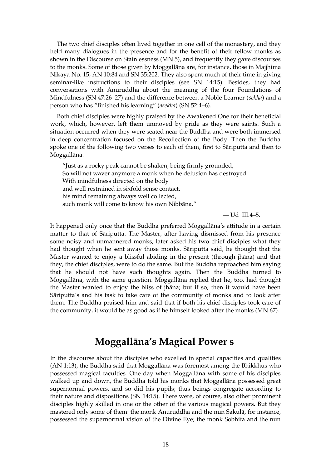The two chief disciples often lived together in one cell of the monastery, and they held many dialogues in the presence and for the benefit of their fellow monks as shown in the Discourse on Stainlessness (MN 5), and frequently they gave discourses to the monks. Some of those given by Moggallāna are, for instance, those in Majjhima Nikāya No. 15, AN 10:84 and SN 35:202. They also spent much of their time in giving seminar-like instructions to their disciples (see SN 14:15). Besides, they had conversations with Anuruddha about the meaning of the four Foundations of Mindfulness (SN 47:26–27) and the difference between a Noble Learner (*sekha*) and a person who has "finished his learning" (*asekha*) (SN 52:4–6).

Both chief disciples were highly praised by the Awakened One for their beneficial work, which, however, left them unmoved by pride as they were saints. Such a situation occurred when they were seated near the Buddha and were both immersed in deep concentration focused on the Recollection of the Body. Then the Buddha spoke one of the following two verses to each of them, first to Sāriputta and then to Moggallāna.

"Just as a rocky peak cannot be shaken, being firmly grounded, So will not waver anymore a monk when he delusion has destroyed. With mindfulness directed on the body and well restrained in sixfold sense contact, his mind remaining always well collected, such monk will come to know his own Nibbāna."

— Ud III.4–5.

It happened only once that the Buddha preferred Moggallāna's attitude in a certain matter to that of Sāriputta. The Master, after having dismissed from his presence some noisy and unmannered monks, later asked his two chief disciples what they had thought when he sent away those monks. Sāriputta said, he thought that the Master wanted to enjoy a blissful abiding in the present (through jhāna) and that they, the chief disciples, were to do the same. But the Buddha reproached him saying that he should not have such thoughts again. Then the Buddha turned to Moggallāna, with the same question. Moggallāna replied that he, too, had thought the Master wanted to enjoy the bliss of jhāna; but if so, then it would have been Sāriputta's and his task to take care of the community of monks and to look after them. The Buddha praised him and said that if both his chief disciples took care of the community, it would be as good as if he himself looked after the monks (MN 67).

### <span id="page-17-0"></span>**Moggallāna's Magical Power s**

In the discourse about the disciples who excelled in special capacities and qualities (AN 1:13), the Buddha said that Moggallāna was foremost among the Bhikkhus who possessed magical faculties. One day when Moggallāna with some of his disciples walked up and down, the Buddha told his monks that Moggallāna possessed great supernormal powers, and so did his pupils; thus beings congregate according to their nature and dispositions (SN 14:15). There were, of course, also other prominent disciples highly skilled in one or the other of the various magical powers. But they mastered only some of them: the monk Anuruddha and the nun Sakulā, for instance, possessed the supernormal vision of the Divine Eye; the monk Sobhita and the nun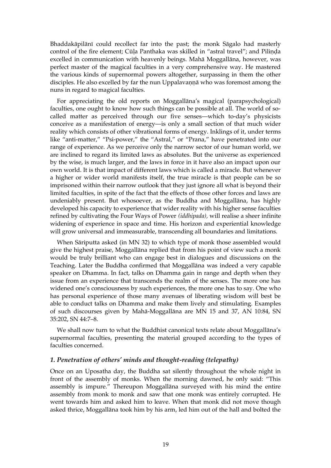Bhaddakāpilānī could recollect far into the past; the monk Sāgalo had masterly control of the fire element; Cūḷa Panthaka was skilled in "astral travel"; and Piliṇḍa excelled in communication with heavenly beings. Mahā Moggallāna, however, was perfect master of the magical faculties in a very comprehensive way. He mastered the various kinds of supernormal powers altogether, surpassing in them the other disciples. He also excelled by far the nun Uppalavannā who was foremost among the nuns in regard to magical faculties.

For appreciating the old reports on Moggallāna's magical (parapsychological) faculties, one ought to know how such things can be possible at all. The world of socalled matter as perceived through our five senses—which to-day's physicists conceive as a manifestation of energy—is only a small section of that much wider reality which consists of other vibrational forms of energy. Inklings of it, under terms like "anti-matter," "Psi-power," the "Astral," or "Prana," have penetrated into our range of experience. As we perceive only the narrow sector of our human world, we are inclined to regard its limited laws as absolutes. But the universe as experienced by the wise, is much larger, and the laws in force in it have also an impact upon our own world. It is that impact of different laws which is called a miracle. But whenever a higher or wider world manifests itself, the true miracle is that people can be so imprisoned within their narrow outlook that they just ignore all what is beyond their limited faculties, in spite of the fact that the effects of those other forces and laws are undeniably present. But whosoever, as the Buddha and Moggallāna, has highly developed his capacity to experience that wider reality with his higher sense faculties refined by cultivating the Four Ways of Power *(iddhipada),* will realise a sheer infinite widening of experience in space and time. His horizon and experiential knowledge will grow universal and immeasurable, transcending all boundaries and limitations.

When Sāriputta asked (in MN 32) to which type of monk those assembled would give the highest praise, Moggallāna replied that from his point of view such a monk would be truly brilliant who can engage best in dialogues and discussions on the Teaching. Later the Buddha confirmed that Moggallāna was indeed a very capable speaker on Dhamma. In fact, talks on Dhamma gain in range and depth when they issue from an experience that transcends the realm of the senses. The more one has widened one's consciousness by such experiences, the more one has to say. One who has personal experience of those many avenues of liberating wisdom will best be able to conduct talks on Dhamma and make them lively and stimulating. Examples of such discourses given by Mahā-Moggallāna are MN 15 and 37, AN 10:84, SN 35:202, SN 44:7–8.

We shall now turn to what the Buddhist canonical texts relate about Moggallāna's supernormal faculties, presenting the material grouped according to the types of faculties concerned.

#### *1. Penetration of others' minds and thought-reading (telepathy)*

Once on an Uposatha day, the Buddha sat silently throughout the whole night in front of the assembly of monks. When the morning dawned, he only said: "This assembly is impure." Thereupon Moggallāna surveyed with his mind the entire assembly from monk to monk and saw that one monk was entirely corrupted. He went towards him and asked him to leave. When that monk did not move though asked thrice, Moggallāna took him by his arm, led him out of the hall and bolted the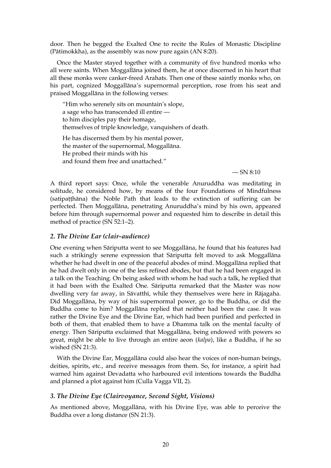door. Then he begged the Exalted One to recite the Rules of Monastic Discipline (Pātimokkha), as the assembly was now pure again (AN 8:20).

Once the Master stayed together with a community of five hundred monks who all were saints. When Moggallāna joined them, he at once discerned in his heart that all these monks were canker-freed Arahats. Then one of these saintly monks who, on his part, cognized Moggallāna's supernormal perception, rose from his seat and praised Moggallāna in the following verses:

"Him who serenely sits on mountain's slope, a sage who has transcended ill entire to him disciples pay their homage, themselves of triple knowledge, vanquishers of death.

He has discerned them by his mental power, the master of the supernormal, Moggallāna. He probed their minds with his and found them free and unattached."

 $-$  SN 8:10

A third report says: Once, while the venerable Anuruddha was meditating in solitude, he considered how, by means of the four Foundations of Mindfulness (satipaṭṭhāna) the Noble Path that leads to the extinction of suffering can be perfected. Then Moggallāna, penetrating Anuruddha's mind by his own, appeared before him through supernormal power and requested him to describe in detail this method of practice (SN 52:1–2).

#### *2. The Divine Ear (clair-audience)*

One evening when Sāriputta went to see Moggallāna, he found that his features had such a strikingly serene expression that Sāriputta felt moved to ask Moggallāna whether he had dwelt in one of the peaceful abodes of mind. Moggallāna replied that he had dwelt only in one of the less refined abodes, but that he had been engaged in a talk on the Teaching. On being asked with whom he had such a talk, he replied that it had been with the Exalted One. Sāriputta remarked that the Master was now dwelling very far away, in Sāvatthī, while they themselves were here in Rājagaha. Did Moggallāna, by way of his supernormal power, go to the Buddha, or did the Buddha come to him? Moggallāna replied that neither had been the case. It was rather the Divine Eye and the Divine Ear, which had been purified and perfected in both of them, that enabled them to have a Dhamma talk on the mental faculty of energy. Then Sāriputta exclaimed that Moggallāna, being endowed with powers so great, might be able to live through an entire aeon (*kalpa*), like a Buddha, if he so wished (SN 21:3).

With the Divine Ear, Moggallāna could also hear the voices of non-human beings, deities, spirits, etc., and receive messages from them. So, for instance, a spirit had warned him against Devadatta who harboured evil intentions towards the Buddha and planned a plot against him (Culla Vagga VII, 2).

#### *3. The Divine Eye (Clairvoyance, Second Sight, Visions)*

As mentioned above, Moggallāna, with his Divine Eye, was able to perceive the Buddha over a long distance (SN 21:3).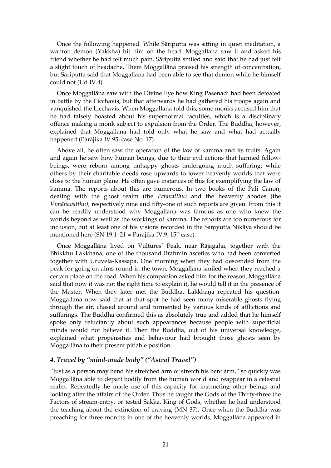Once the following happened. While Sāriputta was sitting in quiet meditation, a wanton demon (Yakkha) hit him on the head. Moggallāna saw it and asked his friend whether he had felt much pain. Sāriputta smiled and said that he had just felt a slight touch of headache. Them Moggallāna praised his strength of concentration, but Sāriputta said that Moggallāna had been able to see that demon while he himself could not (Ud IV.4).

Once Moggallāna saw with the Divine Eye how King Pasenadi had been defeated in battle by the Licchavis, but that afterwards he had gathered his troops again and vanquished the Licchavis. When Moggallāna told this, some monks accused him that he had falsely boasted about his supernormal faculties, which is a disciplinary offence making a monk subject to expulsion from the Order. The Buddha, however, explained that Moggallāna had told only what he saw and what had actually happened (Pārājika IV.95; case No. 17).

Above all, he often saw the operation of the law of kamma and its fruits. Again and again he saw how human beings, due to their evil actions that harmed fellowbeings, were reborn among unhappy ghosts undergoing much suffering; while others by their charitable deeds rose upwards to lower heavenly worlds that were close to the human plane. He often gave instances of this for exemplifying the law of kamma. The reports about this are numerous. In two books of the Pali Canon, dealing with the ghost realm (the *Petavatthu)* and the heavenly abodes (the *Vimānavatthu),* respectively nine and fifty-one of such reports are given. From this it can be readily understood why Moggallāna was famous as one who knew the worlds beyond as well as the workings of kamma. The reports are too numerous for inclusion, but at least one of his visions recorded in the Saṃyutta Nikāya should be mentioned here (SN 19:1–21 = Pārājika IV.9; 15<sup>th</sup> case).

Once Moggallāna lived on Vultures' Peak, near Rājagaha, together with the Bhikkhu Lakkhaṇa, one of the thousand Brahmin ascetics who had been converted together with Uruvela-Kassapa. One morning when they had descended from the peak for going on alms-round in the town, Moggallāna smiled when they reached a certain place on the road. When his companion asked him for the reason, Moggallāna said that now it was not the right time to explain it, he would tell it in the presence of the Master. When they later met the Buddha, Lakkhaṇa repeated his question. Moggallāna now said that at that spot he had seen many miserable ghosts flying through the air, chased around and tormented by various kinds of afflictions and sufferings. The Buddha confirmed this as absolutely true and added that he himself spoke only reluctantly about such appearances because people with superficial minds would not believe it. Then the Buddha, out of his universal knowledge, explained what propensities and behaviour had brought those ghosts seen by Moggallāna to their present pitiable position.

#### *4. Travel by "mind-made body" ("Astral Travel")*

"Just as a person may bend his stretched arm or stretch his bent arm," so quickly was Moggallāna able to depart bodily from the human world and reappear in a celestial realm. Repeatedly he made use of this capacity for instructing other beings and looking after the affairs of the Order. Thus he taught the Gods of the Thirty-three the Factors of stream-entry, or tested Sakka, King of Gods, whether he had understood the teaching about the extinction of craving (MN 37). Once when the Buddha was preaching for three months in one of the heavenly worlds, Moggallāna appeared in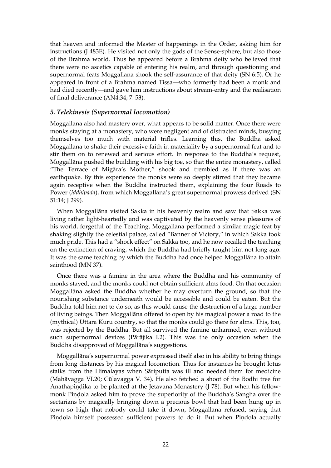that heaven and informed the Master of happenings in the Order, asking him for instructions (J 483E). He visited not only the gods of the Sense-sphere, but also those of the Brahma world. Thus he appeared before a Brahma deity who believed that there were no ascetics capable of entering his realm, and through questioning and supernormal feats Moggallāna shook the self-assurance of that deity (SN 6:5). Or he appeared in front of a Brahma named Tissa—who formerly had been a monk and had died recently—and gave him instructions about stream-entry and the realisation of final deliverance (AN4:34; 7: 53).

#### *5. Telekinesis (Supernormal locomotion)*

Moggallāna also had mastery over, what appears to be solid matter. Once there were monks staying at a monastery, who were negligent and of distracted minds, busying themselves too much with material trifles. Learning this, the Buddha asked Moggallāna to shake their excessive faith in materiality by a supernormal feat and to stir them on to renewed and serious effort. In response to the Buddha's request, Moggallāna pushed the building with his big toe, so that the entire monastery, called "The Terrace of Migāra's Mother," shook and trembled as if there was an earthquake. By this experience the monks were so deeply stirred that they became again receptive when the Buddha instructed them, explaining the four Roads to Power (*iddhipāda*), from which Moggallāna's great supernormal prowess derived (SN 51:14; J 299).

When Moggallāna visited Sakka in his heavenly realm and saw that Sakka was living rather light-heartedly and was captivated by the heavenly sense pleasures of his world, forgetful of the Teaching, Moggallāna performed a similar magic feat by shaking slightly the celestial palace, called "Banner of Victory," in which Sakka took much pride. This had a "shock effect" on Sakka too, and he now recalled the teaching on the extinction of craving, which the Buddha had briefly taught him not long ago. It was the same teaching by which the Buddha had once helped Moggallāna to attain sainthood (MN 37).

Once there was a famine in the area where the Buddha and his community of monks stayed, and the monks could not obtain sufficient alms food. On that occasion Moggallāna asked the Buddha whether he may overturn the ground, so that the nourishing substance underneath would be accessible and could be eaten. But the Buddha told him not to do so, as this would cause the destruction of a large number of living beings. Then Moggallāna offered to open by his magical power a road to the (mythical) Uttara Kuru country, so that the monks could go there for alms. This, too, was rejected by the Buddha. But all survived the famine unharmed, even without such supernormal devices (Pārājika I.2). This was the only occasion when the Buddha disapproved of Moggallāna's suggestions.

Moggallāna's supernormal power expressed itself also in his ability to bring things from long distances by his magical locomotion. Thus for instances he brought lotus stalks from the Himalayas when Sāriputta was ill and needed them for medicine (Mahāvagga VI.20; Cūlavagga V. 34). He also fetched a shoot of the Bodhi tree for Anāthapindika to be planted at the Jetavana Monastery (J 78). But when his fellowmonk Piṇḍola asked him to prove the superiority of the Buddha's Sangha over the sectarians by magically bringing down a precious bowl that had been hung up in town so high that nobody could take it down, Moggallāna refused, saying that Pindola himself possessed sufficient powers to do it. But when Pindola actually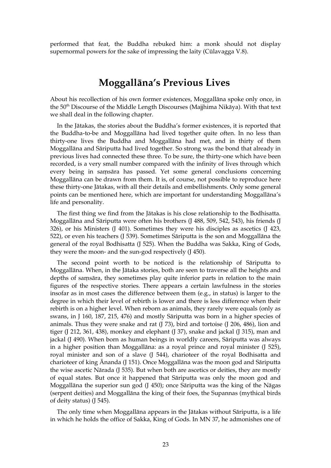performed that feat, the Buddha rebuked him: a monk should not display supernormal powers for the sake of impressing the laity (Cūlavagga V.8).

### <span id="page-22-0"></span>**Moggallāna's Previous Lives**

About his recollection of his own former existences, Moggallāna spoke only once, in the 50<sup>th</sup> Discourse of the Middle Length Discourses (Majjhima Nikāya). With that text we shall deal in the following chapter.

In the Jātakas, the stories about the Buddha's former existences, it is reported that the Buddha-to-be and Moggallāna had lived together quite often. In no less than thirty-one lives the Buddha and Moggallāna had met, and in thirty of them Moggallāna and Sāriputta had lived together. So strong was the bond that already in previous lives had connected these three. To be sure, the thirty-one which have been recorded, is a very small number compared with the infinity of lives through which every being in saṃsāra has passed. Yet some general conclusions concerning Moggallāna can be drawn from them. It is, of course, not possible to reproduce here these thirty-one Jātakas, with all their details and embellishments. Only some general points can be mentioned here, which are important for understanding Moggallāna's life and personality.

The first thing we find from the Jātakas is his close relationship to the Bodhisatta. Moggallāna and Sāriputta were often his brothers (J 488, 509, 542, 543), his friends (J 326), or his Ministers (J 401). Sometimes they were his disciples as ascetics (J 423, 522), or even his teachers (J 539). Sometimes Sāriputta is the son and Moggallāna the general of the royal Bodhisatta (J 525). When the Buddha was Sakka, King of Gods, they were the moon- and the sun-god respectively (J 450).

The second point worth to be noticed is the relationship of Sāriputta to Moggallāna. When, in the Jātaka stories, both are seen to traverse all the heights and depths of saṃsāra, they sometimes play quite inferior parts in relation to the main figures of the respective stories. There appears a certain lawfulness in the stories insofar as in most cases the difference between them (e.g., in status) is larger to the degree in which their level of rebirth is lower and there is less difference when their rebirth is on a higher level. When reborn as animals, they rarely were equals (only as swans, in J 160, 187, 215, 476) and mostly Sāriputta was born in a higher species of animals. Thus they were snake and rat (J 73), bird and tortoise (J 206, 486), lion and tiger (J 212, 361, 438), monkey and elephant (J 37), snake and jackal (J 315), man and jackal (J 490). When born as human beings in worldly careers, Sāriputta was always in a higher position than Moggallāna: as a royal prince and royal minister (J 525), royal minister and son of a slave (J 544), charioteer of the royal Bodhisatta and charioteer of king Ānanda (J 151). Once Moggallāna was the moon god and Sāriputta the wise ascetic Nārada (J 535). But when both are ascetics or deities, they are mostly of equal states. But once it happened that Sāriputta was only the moon god and Moggallāna the superior sun god (J 450); once Sāriputta was the king of the Nāgas (serpent deities) and Moggallāna the king of their foes, the Supannas (mythical birds of deity status) (J 545).

The only time when Moggallāna appears in the Jātakas without Sāriputta, is a life in which he holds the office of Sakka, King of Gods. In MN 37, he admonishes one of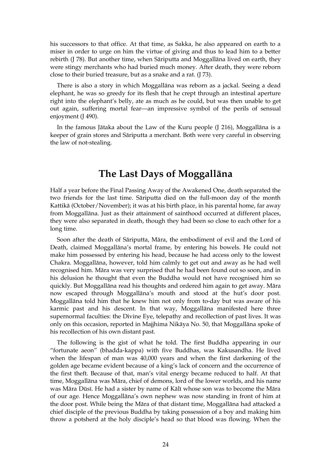his successors to that office. At that time, as Sakka, he also appeared on earth to a miser in order to urge on him the virtue of giving and thus to lead him to a better rebirth (J 78). But another time, when Sāriputta and Moggallāna lived on earth, they were stingy merchants who had buried much money. After death, they were reborn close to their buried treasure, but as a snake and a rat. (J 73).

There is also a story in which Moggallāna was reborn as a jackal. Seeing a dead elephant, he was so greedy for its flesh that he crept through an intestinal aperture right into the elephant's belly, ate as much as he could, but was then unable to get out again, suffering mortal fear—an impressive symbol of the perils of sensual enjoyment (J 490).

In the famous Jātaka about the Law of the Kuru people (J 216), Moggallāna is a keeper of grain stores and Sāriputta a merchant. Both were very careful in observing the law of not-stealing.

### <span id="page-23-0"></span>**The Last Days of Moggallāna**

Half a year before the Final Passing Away of the Awakened One, death separated the two friends for the last time. Sāriputta died on the full-moon day of the month Kattikā (October/November); it was at his birth place, in his parental home, far away from Moggallāna. Just as their attainment of sainthood occurred at different places, they were also separated in death, though they had been so close to each other for a long time.

Soon after the death of Sāriputta, Māra, the embodiment of evil and the Lord of Death, claimed Moggallāna's mortal frame, by entering his bowels. He could not make him possessed by entering his head, because he had access only to the lowest Chakra. Moggallāna, however, told him calmly to get out and away as he had well recognised him. Māra was very surprised that he had been found out so soon, and in his delusion he thought that even the Buddha would not have recognised him so quickly. But Moggallāna read his thoughts and ordered him again to get away. Māra now escaped through Moggallāna's mouth and stood at the hut's door post. Moggallāna told him that he knew him not only from to-day but was aware of his karmic past and his descent. In that way, Moggallāna manifested here three supernormal faculties: the Divine Eye, telepathy and recollection of past lives. It was only on this occasion, reported in Majjhima Nikāya No. 50, that Moggallāna spoke of his recollection of his own distant past.

The following is the gist of what he told. The first Buddha appearing in our "fortunate aeon" (bhadda-kappa) with five Buddhas, was Kakusandha. He lived when the lifespan of man was 40,000 years and when the first darkening of the golden age became evident because of a king's lack of concern and the occurrence of the first theft. Because of that, man's vital energy became reduced to half. At that time, Moggallāna was Māra, chief of demons, lord of the lower worlds, and his name was Māra Dūsī. He had a sister by name of Kālī whose son was to become the Māra of our age. Hence Moggallāna's own nephew was now standing in front of him at the door post. While being the Māra of that distant time, Moggallāna had attacked a chief disciple of the previous Buddha by taking possession of a boy and making him throw a potsherd at the holy disciple's head so that blood was flowing. When the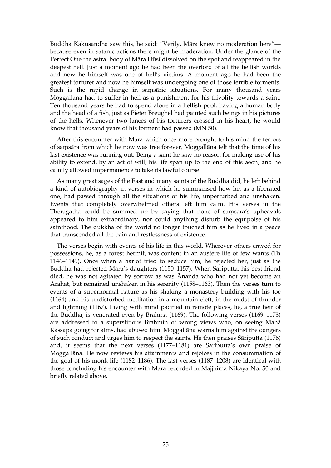Buddha Kakusandha saw this, he said: "Verily, Māra knew no moderation here" because even in satanic actions there might be moderation. Under the glance of the Perfect One the astral body of Māra Dūsī dissolved on the spot and reappeared in the deepest hell. Just a moment ago he had been the overlord of all the hellish worlds and now he himself was one of hell's victims. A moment ago he had been the greatest torturer and now he himself was undergoing one of those terrible torments. Such is the rapid change in saṃsāric situations. For many thousand years Moggallāna had to suffer in hell as a punishment for his frivolity towards a saint. Ten thousand years he had to spend alone in a hellish pool, having a human body and the head of a fish, just as Pieter Breughel had painted such beings in his pictures of the hells. Whenever two lances of his torturers crossed in his heart, he would know that thousand years of his torment had passed (MN 50).

After this encounter with Māra which once more brought to his mind the terrors of saṃsāra from which he now was free forever, Moggallāna felt that the time of his last existence was running out. Being a saint he saw no reason for making use of his ability to extend, by an act of will, his life span up to the end of this aeon, and he calmly allowed impermanence to take its lawful course.

As many great sages of the East and many saints of the Buddha did, he left behind a kind of autobiography in verses in which he summarised how he, as a liberated one, had passed through all the situations of his life, unperturbed and unshaken. Events that completely overwhelmed others left him calm. His verses in the Theragāthā could be summed up by saying that none of saṃsāra's upheavals appeared to him extraordinary, nor could anything disturb the equipoise of his sainthood. The dukkha of the world no longer touched him as he lived in a peace that transcended all the pain and restlessness of existence.

The verses begin with events of his life in this world. Wherever others craved for possessions, he, as a forest hermit, was content in an austere life of few wants (Th 1146–1149). Once when a harlot tried to seduce him, he rejected her, just as the Buddha had rejected Māra's daughters (1150–1157). When Sāriputta, his best friend died, he was not agitated by sorrow as was Ānanda who had not yet become an Arahat, but remained unshaken in his serenity (1158–1163). Then the verses turn to events of a supernormal nature as his shaking a monastery building with his toe (1164) and his undisturbed meditation in a mountain cleft, in the midst of thunder and lightning (1167). Living with mind pacified in remote places, he, a true heir of the Buddha, is venerated even by Brahma (1169). The following verses (1169–1173) are addressed to a superstitious Brahmin of wrong views who, on seeing Mahā Kassapa going for alms, had abused him. Moggallāna warns him against the dangers of such conduct and urges him to respect the saints. He then praises Sāriputta (1176) and, it seems that the next verses (1177–1181) are Sāriputta's own praise of Moggallāna. He now reviews his attainments and rejoices in the consummation of the goal of his monk life (1182–1186). The last verses (1187–1208) are identical with those concluding his encounter with Māra recorded in Majjhima Nikāya No. 50 and briefly related above.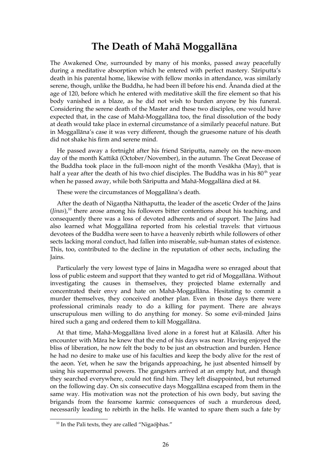#### <span id="page-25-0"></span>**The Death of Mahā Moggallāna**

The Awakened One, surrounded by many of his monks, passed away peacefully during a meditative absorption which he entered with perfect mastery. Sāriputta's death in his parental home, likewise with fellow monks in attendance, was similarly serene, though, unlike the Buddha, he had been ill before his end. Ānanda died at the age of 120, before which he entered with meditative skill the fire element so that his body vanished in a blaze, as he did not wish to burden anyone by his funeral. Considering the serene death of the Master and these two disciples, one would have expected that, in the case of Mahā-Moggallāna too, the final dissolution of the body at death would take place in external circumstance of a similarly peaceful nature. But in Moggallāna's case it was very different, though the gruesome nature of his death did not shake his firm and serene mind.

He passed away a fortnight after his friend Sāriputta, namely on the new-moon day of the month Kattikā (October/November), in the autumn. The Great Decease of the Buddha took place in the full-moon night of the month Vesākha (May), that is half a year after the death of his two chief disciples. The Buddha was in his  $80<sup>th</sup>$  year when he passed away, while both Sāriputta and Mahā-Moggallāna died at 84.

These were the circumstances of Moggallāna's death.

After the death of Nigaṇṭha Nāthaputta, the leader of the ascetic Order of the Jains (*Jinas*),<sup>[10](#page-25-1)</sup> there arose among his followers bitter contentions about his teaching, and consequently there was a loss of devoted adherents and of support. The Jains had also learned what Moggallāna reported from his celestial travels: that virtuous devotees of the Buddha were seen to have a heavenly rebirth while followers of other sects lacking moral conduct, had fallen into miserable, sub-human states of existence. This, too, contributed to the decline in the reputation of other sects, including the Jains.

Particularly the very lowest type of Jains in Magadha were so enraged about that loss of public esteem and support that they wanted to get rid of Moggallāna. Without investigating the causes in themselves, they projected blame externally and concentrated their envy and hate on Mahā-Moggallāna. Hesitating to commit a murder themselves, they conceived another plan. Even in those days there were professional criminals ready to do a killing for payment. There are always unscrupulous men willing to do anything for money. So some evil-minded Jains hired such a gang and ordered them to kill Moggallāna.

At that time, Mahā-Moggallāna lived alone in a forest hut at Kālasilā. After his encounter with Māra he knew that the end of his days was near. Having enjoyed the bliss of liberation, he now felt the body to be just an obstruction and burden. Hence he had no desire to make use of his faculties and keep the body alive for the rest of the aeon. Yet, when he saw the brigands approaching, he just absented himself by using his supernormal powers. The gangsters arrived at an empty hut, and though they searched everywhere, could not find him. They left disappointed, but returned on the following day. On six consecutive days Moggallāna escaped from them in the same way. His motivation was not the protection of his own body, but saving the brigands from the fearsome karmic consequences of such a murderous deed, necessarily leading to rebirth in the hells. He wanted to spare them such a fate by

<span id="page-25-1"></span> $10$  In the Pali texts, they are called "Nigaóbhas."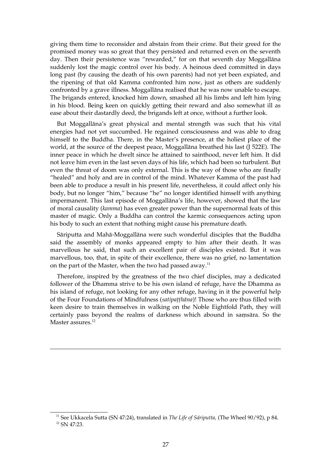giving them time to reconsider and abstain from their crime. But their greed for the promised money was so great that they persisted and returned even on the seventh day. Then their persistence was "rewarded," for on that seventh day Moggallāna suddenly lost the magic control over his body. A heinous deed committed in days long past (by causing the death of his own parents) had not yet been expiated, and the ripening of that old Kamma confronted him now, just as others are suddenly confronted by a grave illness. Moggallāna realised that he was now unable to escape. The brigands entered, knocked him down, smashed all his limbs and left him lying in his blood. Being keen on quickly getting their reward and also somewhat ill as ease about their dastardly deed, the brigands left at once, without a further look.

But Moggallāna's great physical and mental strength was such that his vital energies had not yet succumbed. He regained consciousness and was able to drag himself to the Buddha. There, in the Master's presence, at the holiest place of the world, at the source of the deepest peace, Moggallāna breathed his last (J 522E). The inner peace in which he dwelt since he attained to sainthood, never left him. It did not leave him even in the last seven days of his life, which had been so turbulent. But even the threat of doom was only external. This is the way of those who are finally "healed" and holy and are in control of the mind. Whatever Kamma of the past had been able to produce a result in his present life, nevertheless, it could affect only his body, but no longer "him," because "he" no longer identified himself with anything impermanent. This last episode of Moggallāna's life, however, showed that the law of moral causality (*kamma*) has even greater power than the supernormal feats of this master of magic. Only a Buddha can control the karmic consequences acting upon his body to such an extent that nothing might cause his premature death.

Sāriputta and Mahā-Moggallāna were such wonderful disciples that the Buddha said the assembly of monks appeared empty to him after their death. It was marvellous he said, that such an excellent pair of disciples existed. But it was marvellous, too, that, in spite of their excellence, there was no grief, no lamentation on the part of the Master, when the two had passed away.<sup>[11](#page-26-0)</sup>

Therefore, inspired by the greatness of the two chief disciples, may a dedicated follower of the Dhamma strive to be his own island of refuge, have the Dhamma as his island of refuge, not looking for any other refuge, having in it the powerful help of the Four Foundations of Mindfulness (*satipaṭṭhāna*)! Those who are thus filled with keen desire to train themselves in walking on the Noble Eightfold Path, they will certainly pass beyond the realms of darkness which abound in saṃsāra. So the Master assures.<sup>[12](#page-26-1)</sup>

<span id="page-26-1"></span><span id="page-26-0"></span><sup>11</sup> See Ukkacela Sutta (SN 47:24), translated in *The Life of Sáriputta,* (The Wheel 90/92), p 84.  $12$  SN 47:23.